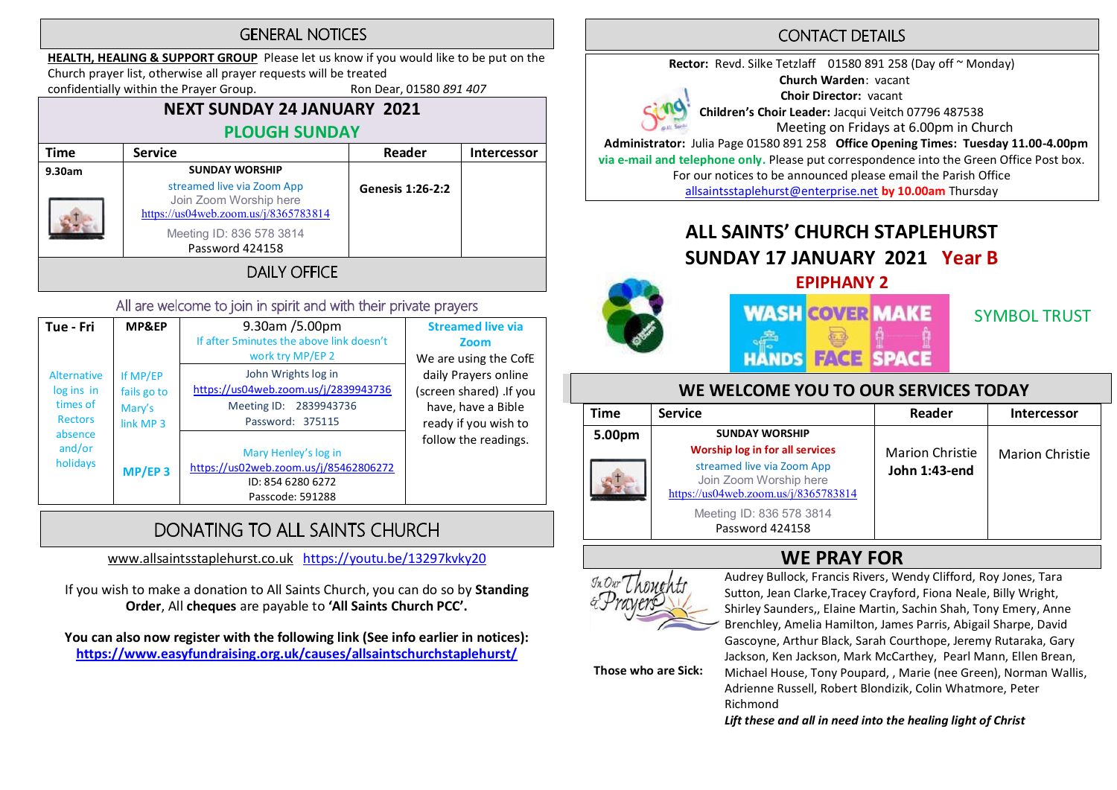#### **GENERAL NOTICES**

HEALTH, HEALING & SUPPORT GROUP Please let us know if you would like to be put on the

Church prayer list, otherwise all prayer requests will be treated confidentially within the Prayer Group. Ron Dear, 01580 891 407

#### NEXT SUNDAY 24 JANUARY 2021 PLOUGH SUNDAY

| Time   | <b>Service</b>                                                                                                                              | Reader                  | <b>Intercessor</b> |
|--------|---------------------------------------------------------------------------------------------------------------------------------------------|-------------------------|--------------------|
| 9.30am | <b>SUNDAY WORSHIP</b>                                                                                                                       |                         |                    |
|        | streamed live via Zoom App<br>Join Zoom Worship here<br>https://us04web.zoom.us/j/8365783814<br>Meeting ID: 836 578 3814<br>Password 424158 | <b>Genesis 1:26-2:2</b> |                    |
|        |                                                                                                                                             |                         |                    |

#### All are welcome to join in spirit and with their private prayers

| Tue - Fri                                                                                       | MP&EP                                                                  | 9.30am /5.00pm<br>If after 5minutes the above link doesn't<br>work try MP/EP 2                            | <b>Streamed live via</b><br>Zoom<br>We are using the CofE                                     |
|-------------------------------------------------------------------------------------------------|------------------------------------------------------------------------|-----------------------------------------------------------------------------------------------------------|-----------------------------------------------------------------------------------------------|
| <b>Alternative</b><br>log ins in<br>times of<br><b>Rectors</b><br>absence<br>and/or<br>holidays | If MP/EP<br>fails go to<br>Mary's<br>link MP <sub>3</sub><br>$MP/EP$ 3 | John Wrights log in<br>https://us04web.zoom.us/j/2839943736<br>Meeting ID: 2839943736<br>Password: 375115 | daily Prayers online<br>(screen shared) .If you<br>have, have a Bible<br>ready if you wish to |
|                                                                                                 |                                                                        | Mary Henley's log in<br>https://us02web.zoom.us/j/85462806272<br>ID: 854 6280 6272<br>Passcode: 591288    | follow the readings.                                                                          |

# DONATING TO ALL SAINTS CHURCH

www.allsaintsstaplehurst.co.uk https://youtu.be/13297kvky20

If you wish to make a donation to All Saints Church, you can do so by Standing Order, All cheques are payable to 'All Saints Church PCC'.

You can also now register with the following link (See info earlier in notices): https://www.easyfundraising.org.uk/causes/allsaintschurchstaplehurst/

## **CONTACT DETAILS**

Rector: Revd. Silke Tetzlaff 01580 891 258 (Day off ~ Monday) Church Warden: vacant Choir Director: vacant Children's Choir Leader: Jacqui Veitch 07796 487538 Meeting on Fridays at 6.00pm in Church Administrator: Julia Page 01580 891 258 Office Opening Times: Tuesday 11.00-4.00pm

via e-mail and telephone only. Please put correspondence into the Green Office Post box. For our notices to be announced please email the Parish Office

allsaintsstaplehurst@enterprise.net by 10.00am Thursday

# ALL SAINTS' CHURCH STAPLEHURST SUNDAY 17 JANUARY 2021 Year B





SYMBOL TRUST

#### WE WELCOME YOU TO OUR SERVICES TODAY

| <b>Time</b> | <b>Service</b>                                                                               | Reader                 | <b>Intercessor</b>     |  |
|-------------|----------------------------------------------------------------------------------------------|------------------------|------------------------|--|
| 5.00pm      | <b>SUNDAY WORSHIP</b><br>Worship log in for all services                                     | <b>Marion Christie</b> | <b>Marion Christie</b> |  |
|             | streamed live via Zoom App<br>Join Zoom Worship here<br>https://us04web.zoom.us/j/8365783814 | John 1:43-end          |                        |  |
|             | Meeting ID: 836 578 3814<br>Password 424158                                                  |                        |                        |  |



WE PRAY FOR<br>
Fu Dur The avenue for and the Audrey Bullock, Francis Rivers, Wendy Clifford, Roy Jones, Tara Sutton, Jean Clarke,Tracey Crayford, Fiona Neale, Billy Wright, Shirley Saunders,, Elaine Martin, Sachin Shah, Tony Emery, Anne Brenchley, Amelia Hamilton, James Parris, Abigail Sharpe, David Gascoyne, Arthur Black, Sarah Courthope, Jeremy Rutaraka, Gary Jackson, Ken Jackson, Mark McCarthey, Pearl Mann, Ellen Brean,

Those who are Sick:

Michael House, Tony Poupard, , Marie (nee Green), Norman Wallis, Adrienne Russell, Robert Blondizik, Colin Whatmore, Peter Richmond

Lift these and all in need into the healing light of Christ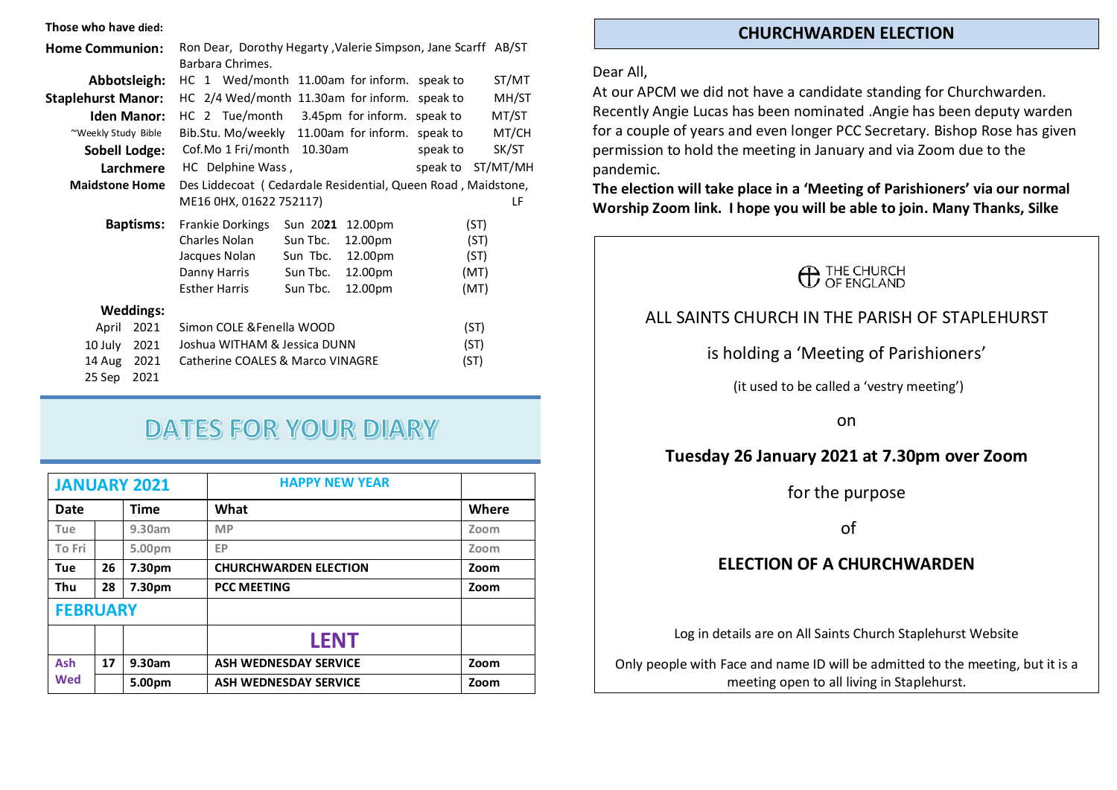#### Those who have died:

| <b>Home Communion:</b>    |      | Ron Dear, Dorothy Hegarty, Valerie Simpson, Jane Scarff AB/ST |          |         |          |          |
|---------------------------|------|---------------------------------------------------------------|----------|---------|----------|----------|
|                           |      | Barbara Chrimes.                                              |          |         |          |          |
| Abbotsleigh:              |      | HC 1 Wed/month 11.00am for inform. speak to                   |          |         |          | ST/MT    |
| <b>Staplehurst Manor:</b> |      | HC 2/4 Wed/month 11.30am for inform. speak to                 |          |         |          | MH/ST    |
| <b>Iden Manor:</b>        |      | HC 2 Tue/month 3.45pm for inform. speak to                    |          |         |          | MT/ST    |
| ~Weekly Study Bible       |      | Bib.Stu. Mo/weekly 11.00am for inform. speak to               |          |         |          | MT/CH    |
| <b>Sobell Lodge:</b>      |      | Cof.Mo 1 Fri/month 10.30am                                    |          |         | speak to | SK/ST    |
| Larchmere                 |      | HC Delphine Wass,                                             |          |         | speak to | ST/MT/MH |
| <b>Maidstone Home</b>     |      | Des Liddecoat (Cedardale Residential, Queen Road, Maidstone,  |          |         |          |          |
|                           |      | ME16 0HX, 01622 752117)<br>LF                                 |          |         |          |          |
| <b>Baptisms:</b>          |      | <b>Frankie Dorkings</b>                                       | Sun 2021 | 12.00pm |          | (ST)     |
|                           |      | Charles Nolan                                                 | Sun Tbc. | 12.00pm |          | (ST)     |
|                           |      | Jacques Nolan                                                 | Sun Tbc. | 12.00pm |          | (ST)     |
|                           |      | Danny Harris                                                  | Sun Tbc. | 12.00pm | (MT)     |          |
|                           |      | Esther Harris                                                 | Sun Tbc. | 12.00pm | (MT)     |          |
| <b>Weddings:</b>          |      |                                                               |          |         |          |          |
| April                     | 2021 | Simon COLE & Fenella WOOD                                     |          |         | (ST)     |          |
| 10 July                   | 2021 | Joshua WITHAM & Jessica DUNN                                  |          |         | (ST)     |          |
| 14 Aug                    | 2021 | Catherine COALES & Marco VINAGRE                              |          |         | (ST)     |          |
| 25 Sep                    | 2021 |                                                               |          |         |          |          |

# **DATES FOR YOUR DIARY**

|                 |    | <b>JANUARY 2021</b> | <b>HAPPY NEW YEAR</b>        |       |
|-----------------|----|---------------------|------------------------------|-------|
| Date            |    | <b>Time</b>         | What                         | Where |
| Tue             |    | 9.30am              | <b>MP</b>                    | Zoom  |
| To Fri          |    | 5.00pm              | EP                           | Zoom  |
| Tue             | 26 | 7.30pm              | <b>CHURCHWARDEN ELECTION</b> | Zoom  |
| <b>Thu</b>      | 28 | 7.30pm              | <b>PCC MEETING</b>           | Zoom  |
| <b>FEBRUARY</b> |    |                     |                              |       |
|                 |    |                     | <b>LENT</b>                  |       |
| Ash             | 17 | 9.30am              | <b>ASH WEDNESDAY SERVICE</b> | Zoom  |
| <b>Wed</b>      |    | 5.00pm              | <b>ASH WEDNESDAY SERVICE</b> | Zoom  |

#### CHURCHWARDEN ELECTION

#### Dear All,

At our APCM we did not have a candidate standing for Churchwarden. Recently Angie Lucas has been nominated .Angie has been deputy warden for a couple of years and even longer PCC Secretary. Bishop Rose has given permission to hold the meeting in January and via Zoom due to the pandemic.

The election will take place in a 'Meeting of Parishioners' via our normal Worship Zoom link. I hope you will be able to join. Many Thanks, Silke



#### ALL SAINTS CHURCH IN THE PARISH OF STAPI FHURST

#### is holding a 'Meeting of Parishioners'

(it used to be called a 'vestry meeting')

on

#### Tuesday 26 January 2021 at 7.30pm over Zoom

for the purpose

of

#### ELECTION OF A CHURCHWARDEN

Log in details are on All Saints Church Staplehurst Website

Only people with Face and name ID will be admitted to the meeting, but it is a meeting open to all living in Staplehurst.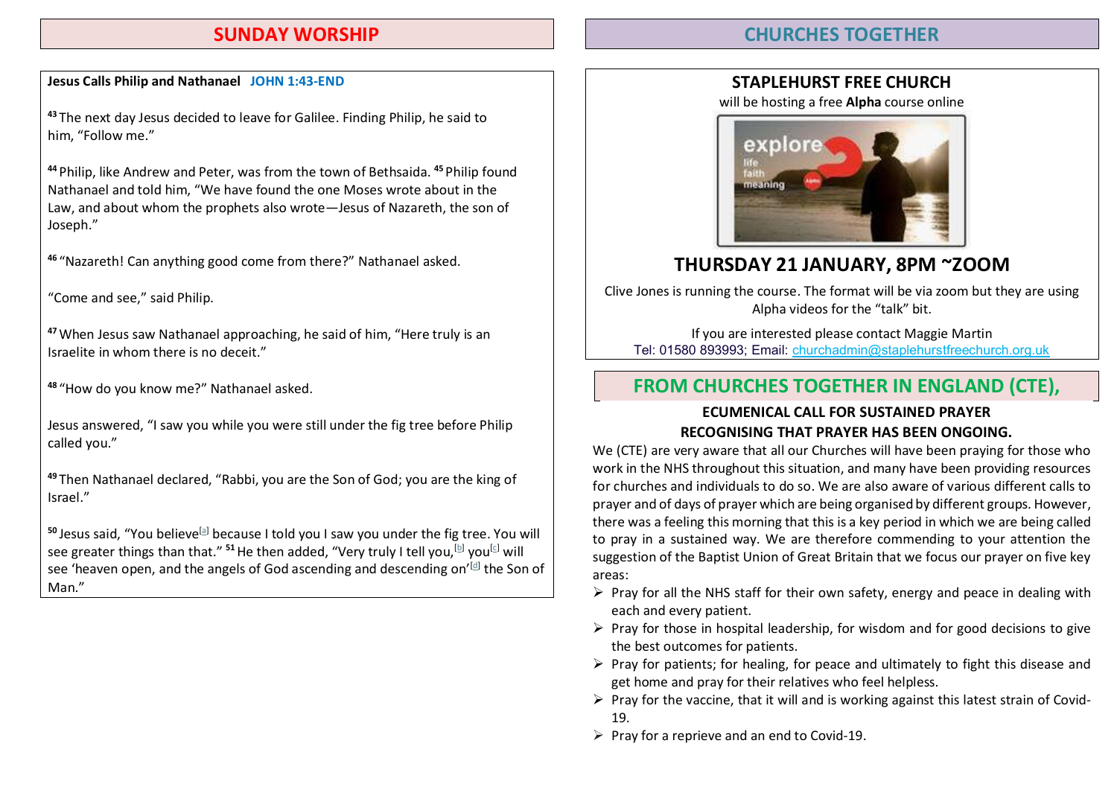#### SUNDAY WORSHIP

#### CHURCHES TOGETHER

#### Jesus Calls Philip and Nathanael JOHN 1:43-END

<sup>43</sup> The next day Jesus decided to leave for Galilee. Finding Philip, he said to him, "Follow me."

<sup>44</sup> Philip, like Andrew and Peter, was from the town of Bethsaida. <sup>45</sup> Philip found Nathanael and told him, "We have found the one Moses wrote about in the Law, and about whom the prophets also wrote—Jesus of Nazareth, the son of Joseph."

<sup>46</sup> "Nazareth! Can anything good come from there?" Nathanael asked.

"Come and see," said Philip.

<sup>47</sup>When Jesus saw Nathanael approaching, he said of him, "Here truly is an Israelite in whom there is no deceit."

<sup>48</sup> "How do you know me?" Nathanael asked.

Jesus answered, "I saw you while you were still under the fig tree before Philip called you."

<sup>49</sup> Then Nathanael declared, "Rabbi, you are the Son of God; you are the king of Israel."

 $50$  Jesus said. "You believe<sup>[a]</sup> because I told you I saw you under the fig tree. You will see greater things than that." <sup>51</sup> He then added, "Very truly I tell you,  $[$ b] you $[$ c] will see 'heaven open, and the angels of God ascending and descending on'<sup>[d]</sup> the Son of Man."

#### STAPLEHURST FREE CHURCH

will be hosting a free Alpha course online



### THURSDAY 21 JANUARY, 8PM ~ZOOM

Clive Jones is running the course. The format will be via zoom but they are using Alpha videos for the "talk" bit.

If you are interested please contact Maggie Martin Tel: 01580 893993; Email: churchadmin@staplehurstfreechurch.org.uk

#### FROM CHURCHES TOGETHER IN ENGLAND (CTE),

#### ECUMENICAL CALL FOR SUSTAINED PRAYER RECOGNISING THAT PRAYER HAS BEEN ONGOING.

We (CTE) are very aware that all our Churches will have been praying for those who work in the NHS throughout this situation, and many have been providing resources for churches and individuals to do so. We are also aware of various different calls to prayer and of days of prayer which are being organised by different groups. However, there was a feeling this morning that this is a key period in which we are being called to pray in a sustained way. We are therefore commending to your attention the suggestion of the Baptist Union of Great Britain that we focus our prayer on five key areas:

- $\triangleright$  Pray for all the NHS staff for their own safety, energy and peace in dealing with each and every patient.
- $\triangleright$  Pray for those in hospital leadership, for wisdom and for good decisions to give the best outcomes for patients.
- $\triangleright$  Pray for patients; for healing, for peace and ultimately to fight this disease and get home and pray for their relatives who feel helpless.
- $\triangleright$  Pray for the vaccine, that it will and is working against this latest strain of Covid-19.
- $\triangleright$  Pray for a reprieve and an end to Covid-19.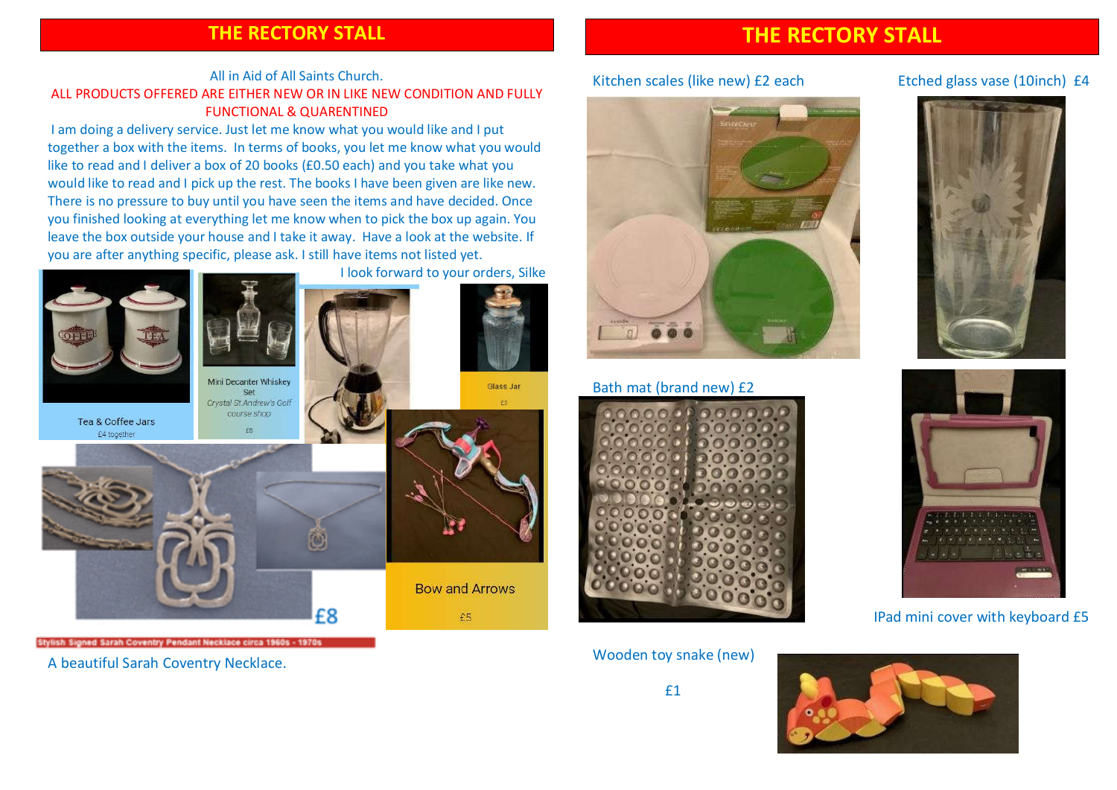#### THE RECTORY STALL

#### All in Aid of All Saints Church. ALL PRODUCTS OFFERED ARE EITHER NEW OR IN LIKE NEW CONDITION AND FULLY FUNCTIONAL & QUARENTINED

I am doing a delivery service. Just let me know what you would like and I put together a box with the items. In terms of books, you let me know what you would like to read and I deliver a box of 20 books (£0.50 each) and you take what you would like to read and I pick up the rest. The books I have been given are like new. There is no pressure to buy until you have seen the items and have decided. Once you finished looking at everything let me know when to pick the box up again. You leave the box outside your house and I take it away. Have a look at the website. If you are after anything specific, please ask. I still have items not listed yet.



Stylish Signed Sarah Coventry Pendant Necklace circa 1960s - 1970s

A beautiful Sarah Coventry Necklace.

#### THE RECTORY STALL

#### Kitchen scales (like new) £2 each Etched glass vase (10inch) £4



#### Bath mat (brand new) £2



Wooden toy snake (new)







## IPad mini cover with keyboard £5